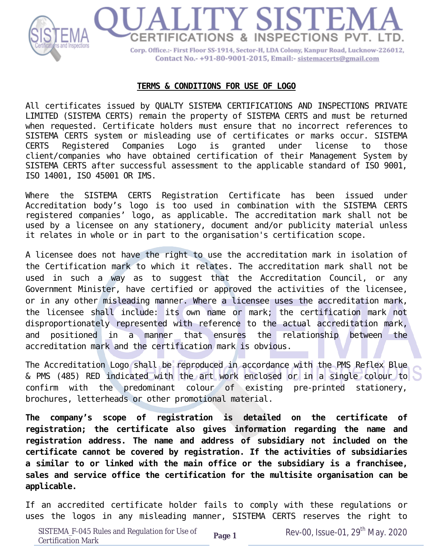

## **TERMS & CONDITIONS FOR USE OF LOGO**

All certificates issued by QUALTY SISTEMA CERTIFICATIONS AND INSPECTIONS PRIVATE LIMITED (SISTEMA CERTS) remain the property of SISTEMA CERTS and must be returned when requested. Certificate holders must ensure that no incorrect references to SISTEMA CERTS system or misleading use of certificates or marks occur. SISTEMA CERTS Registered Companies Logo is granted under license to those client/companies who have obtained certification of their Management System by SISTEMA CERTS after successful assessment to the applicable standard of ISO 9001, ISO 14001, ISO 45001 OR IMS.

Where the SISTEMA CERTS Registration Certificate has been issued under Accreditation body's logo is too used in combination with the SISTEMA CERTS registered companies' logo, as applicable. The accreditation mark shall not be used by a licensee on any stationery, document and/or publicity material unless it relates in whole or in part to the organisation's certification scope.

A licensee does not have the right to use the accreditation mark in isolation of the Certification mark to which it relates. The accreditation mark shall not be used in such a way as to suggest that the Accreditation Council, or any Government Minister, have certified or approved the activities of the licensee, or in any other misleading manner. Where a licensee uses the accreditation mark, the licensee shall include: its own name or mark; the certification mark not disproportionately represented with reference to the actual accreditation mark, and positioned in a manner that ensures the relationship between the accreditation mark and the certification mark is obvious.

The Accreditation Logo shall be reproduced in accordance with the PMS Reflex Blue & PMS (485) RED indicated with the art work enclosed or in a single colour to confirm with the predominant colour of existing pre-printed stationery, brochures, letterheads or other promotional material.

*The company's scope of registration is detailed on the certificate of registration; the certificate also gives information regarding the name and registration address. The name and address of subsidiary not included on the certificate cannot be covered by registration. If the activities of subsidiaries a similar to or linked with the main office or the subsidiary is a franchisee, sales and service office the certification for the multisite organisation can be applicable.* 

If an accredited certificate holder fails to comply with these regulations or uses the logos in any misleading manner, SISTEMA CERTS reserves the right to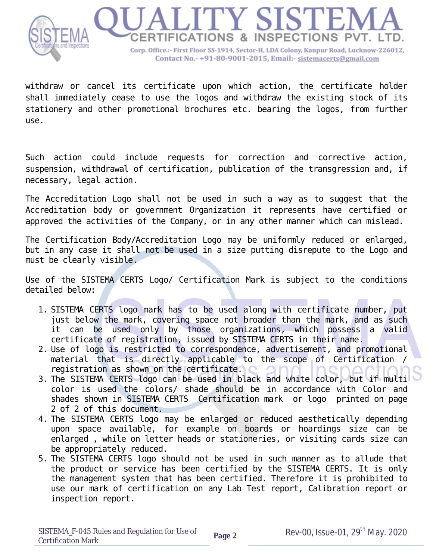

withdraw or cancel its certificate upon which action, the certificate holder shall immediately cease to use the logos and withdraw the existing stock of its stationery and other promotional brochures etc. bearing the logos, from further use.

Such action could include requests for correction and corrective action, suspension, withdrawal of certification, publication of the transgression and, if necessary, legal action.

The Accreditation Logo shall not be used in such a way as to suggest that the Accreditation body or government Organization it represents have certified or approved the activities of the Company, or in any other manner which can mislead.

The Certification Body/Accreditation Logo may be uniformly reduced or enlarged, but in any case it shall not be used in a size putting disrepute to the Logo and must be clearly visible.

Use of the SISTEMA CERTS Logo/ Certification Mark is subject to the conditions detailed below:

- 1. SISTEMA CERTS logo mark has to be used along with certificate number, put just below the mark, covering space not broader than the mark, and as such it can be used only by those organizations, which possess a valid certificate of registration, issued by SISTEMA CERTS in their name.
- 2. Use of logo is restricted to correspondence, advertisement, and promotional material that is directly applicable to the scope of Certification / registration as shown on the certificate.
- 3. The SISTEMA CERTS logo can be used in black and white color, but if multi color is used the colors/ shade should be in accordance with Color and shades shown in SISTEMA CERTS Certification mark or logo printed on page 2 of 2 of this document.
- 4. The SISTEMA CERTS logo may be enlarged or reduced aesthetically depending upon space available, for example on boards or hoardings size can be enlarged , while on letter heads or stationeries, or visiting cards size can be appropriately reduced.
- 5. The SISTEMA CERTS logo should not be used in such manner as to allude that the product or service has been certified by the SISTEMA CERTS. It is only the management system that has been certified. Therefore it is prohibited to use our mark of certification on any Lab Test report, Calibration report or inspection report.